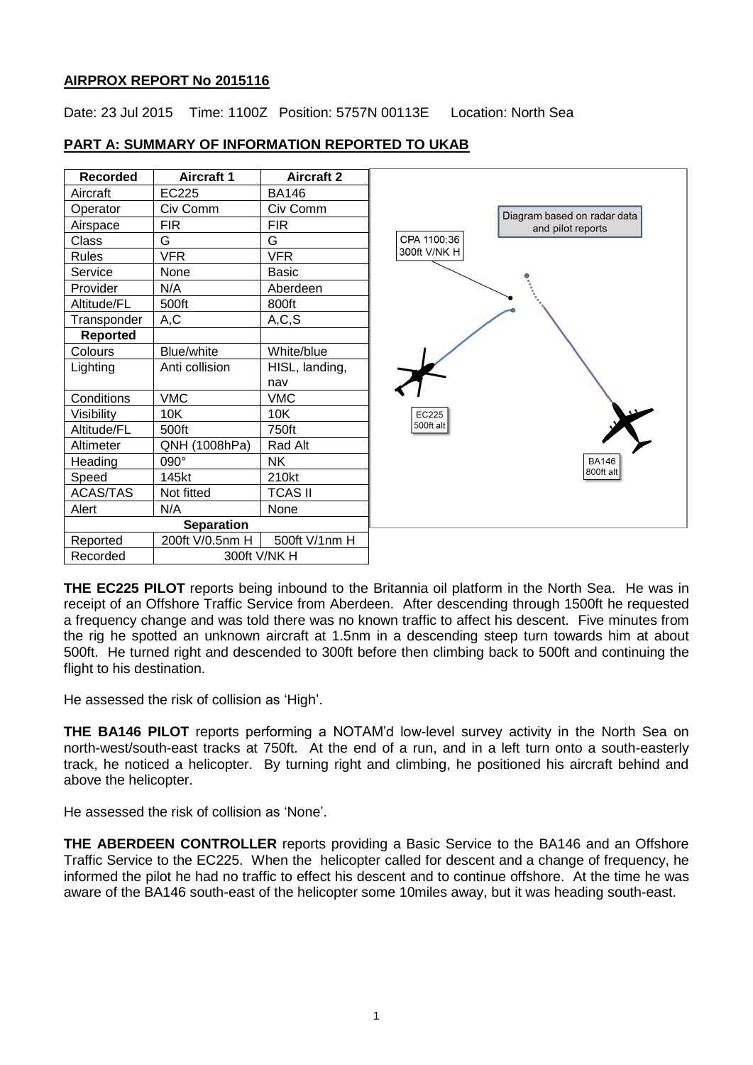#### **AIRPROX REPORT No 2015116**

Date: 23 Jul 2015 Time: 1100Z Position: 5757N 00113E Location: North Sea



### **PART A: SUMMARY OF INFORMATION REPORTED TO UKAB**

**THE EC225 PILOT** reports being inbound to the Britannia oil platform in the North Sea. He was in receipt of an Offshore Traffic Service from Aberdeen. After descending through 1500ft he requested a frequency change and was told there was no known traffic to affect his descent. Five minutes from the rig he spotted an unknown aircraft at 1.5nm in a descending steep turn towards him at about 500ft. He turned right and descended to 300ft before then climbing back to 500ft and continuing the flight to his destination.

He assessed the risk of collision as 'High'.

**THE BA146 PILOT** reports performing a NOTAM'd low-level survey activity in the North Sea on north-west/south-east tracks at 750ft. At the end of a run, and in a left turn onto a south-easterly track, he noticed a helicopter. By turning right and climbing, he positioned his aircraft behind and above the helicopter.

He assessed the risk of collision as 'None'.

**THE ABERDEEN CONTROLLER** reports providing a Basic Service to the BA146 and an Offshore Traffic Service to the EC225. When the helicopter called for descent and a change of frequency, he informed the pilot he had no traffic to effect his descent and to continue offshore. At the time he was aware of the BA146 south-east of the helicopter some 10miles away, but it was heading south-east.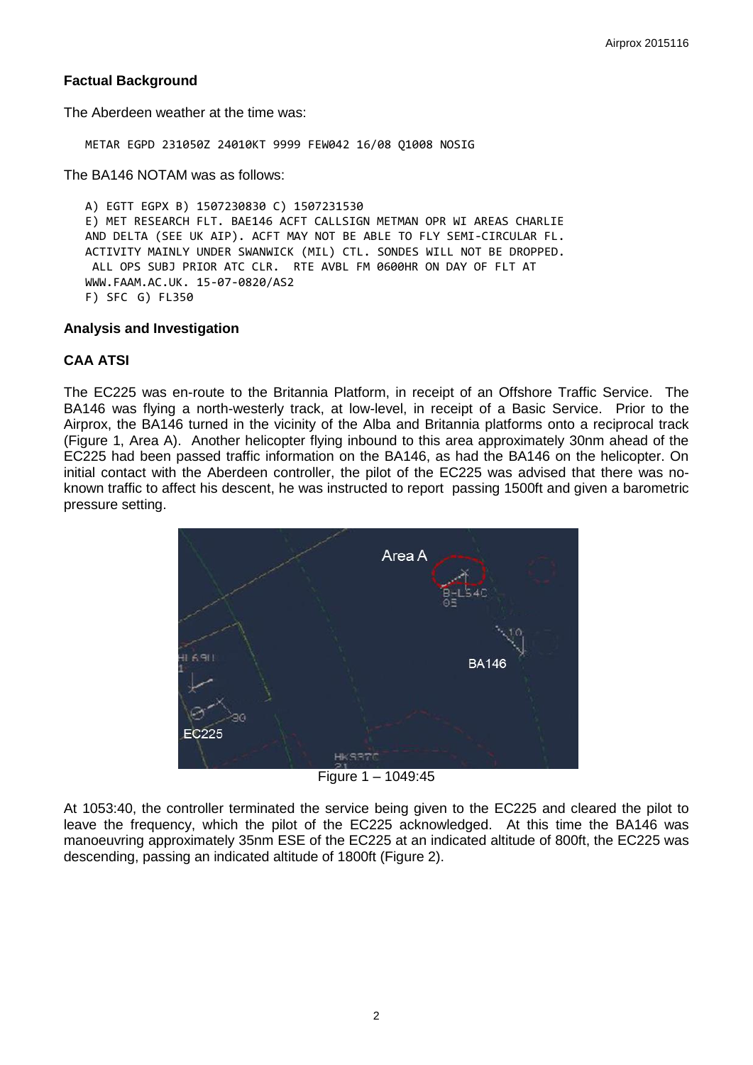## **Factual Background**

The Aberdeen weather at the time was:

METAR EGPD 231050Z 24010KT 9999 FEW042 16/08 Q1008 NOSIG

The BA146 NOTAM was as follows:

A) EGTT EGPX B) 1507230830 C) 1507231530 E) MET RESEARCH FLT. BAE146 ACFT CALLSIGN METMAN OPR WI AREAS CHARLIE AND DELTA (SEE UK AIP). ACFT MAY NOT BE ABLE TO FLY SEMI-CIRCULAR FL. ACTIVITY MAINLY UNDER SWANWICK (MIL) CTL. SONDES WILL NOT BE DROPPED. ALL OPS SUBJ PRIOR ATC CLR. RTE AVBL FM 0600HR ON DAY OF FLT AT WWW.FAAM.AC.UK. 15-07-0820/AS2 F) SFC G) FL350

#### **Analysis and Investigation**

## **CAA ATSI**

The EC225 was en-route to the Britannia Platform, in receipt of an Offshore Traffic Service. The BA146 was flying a north-westerly track, at low-level, in receipt of a Basic Service. Prior to the Airprox, the BA146 turned in the vicinity of the Alba and Britannia platforms onto a reciprocal track (Figure 1, Area A). Another helicopter flying inbound to this area approximately 30nm ahead of the EC225 had been passed traffic information on the BA146, as had the BA146 on the helicopter. On initial contact with the Aberdeen controller, the pilot of the EC225 was advised that there was noknown traffic to affect his descent, he was instructed to report passing 1500ft and given a barometric pressure setting.



Figure 1 – 1049:45

At 1053:40, the controller terminated the service being given to the EC225 and cleared the pilot to leave the frequency, which the pilot of the EC225 acknowledged. At this time the BA146 was manoeuvring approximately 35nm ESE of the EC225 at an indicated altitude of 800ft, the EC225 was descending, passing an indicated altitude of 1800ft (Figure 2).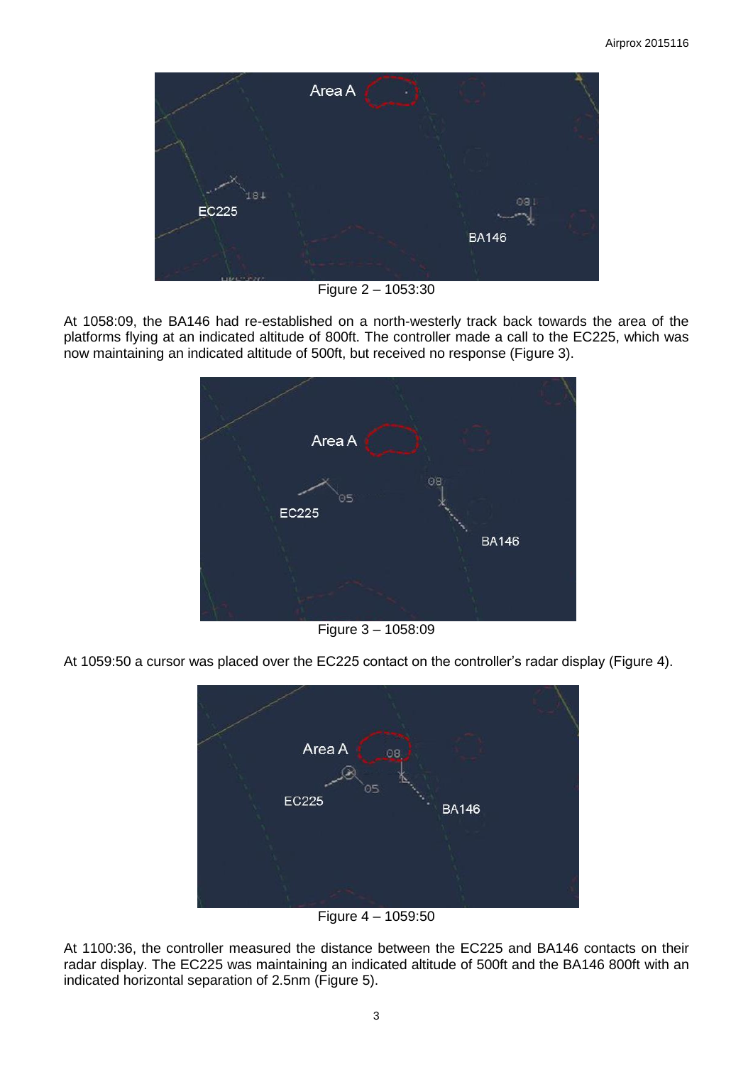

Figure 2 – 1053:30

At 1058:09, the BA146 had re-established on a north-westerly track back towards the area of the platforms flying at an indicated altitude of 800ft. The controller made a call to the EC225, which was now maintaining an indicated altitude of 500ft, but received no response (Figure 3).



Figure 3 – 1058:09

At 1059:50 a cursor was placed over the EC225 contact on the controller's radar display (Figure 4).



Figure 4 – 1059:50

At 1100:36, the controller measured the distance between the EC225 and BA146 contacts on their radar display. The EC225 was maintaining an indicated altitude of 500ft and the BA146 800ft with an indicated horizontal separation of 2.5nm (Figure 5).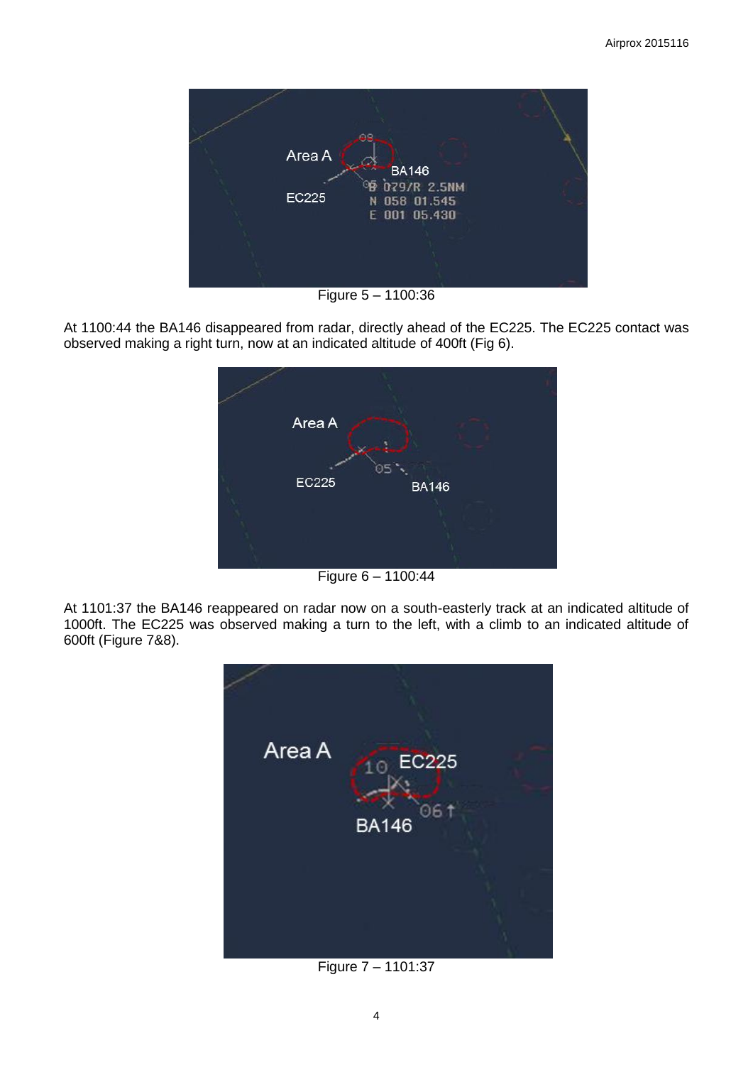

Figure 5 – 1100:36

At 1100:44 the BA146 disappeared from radar, directly ahead of the EC225. The EC225 contact was observed making a right turn, now at an indicated altitude of 400ft (Fig 6).



Figure 6 – 1100:44

At 1101:37 the BA146 reappeared on radar now on a south-easterly track at an indicated altitude of 1000ft. The EC225 was observed making a turn to the left, with a climb to an indicated altitude of 600ft (Figure 7&8).



Figure 7 – 1101:37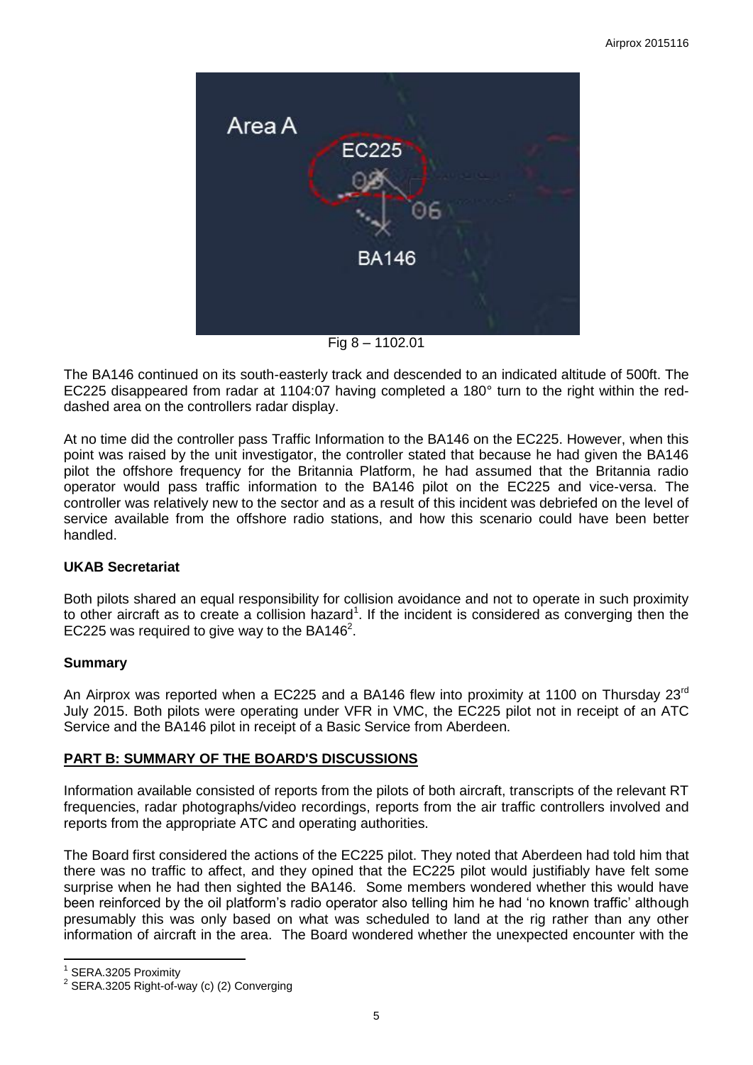

Fig 8 – 1102.01

The BA146 continued on its south-easterly track and descended to an indicated altitude of 500ft. The EC225 disappeared from radar at 1104:07 having completed a 180° turn to the right within the reddashed area on the controllers radar display.

At no time did the controller pass Traffic Information to the BA146 on the EC225. However, when this point was raised by the unit investigator, the controller stated that because he had given the BA146 pilot the offshore frequency for the Britannia Platform, he had assumed that the Britannia radio operator would pass traffic information to the BA146 pilot on the EC225 and vice-versa. The controller was relatively new to the sector and as a result of this incident was debriefed on the level of service available from the offshore radio stations, and how this scenario could have been better handled.

# **UKAB Secretariat**

Both pilots shared an equal responsibility for collision avoidance and not to operate in such proximity to other aircraft as to create a collision hazard<sup>1</sup>. If the incident is considered as converging then the EC225 was required to give way to the BA146<sup>2</sup>.

# **Summary**

An Airprox was reported when a EC225 and a BA146 flew into proximity at 1100 on Thursday 23<sup>rd</sup> July 2015. Both pilots were operating under VFR in VMC, the EC225 pilot not in receipt of an ATC Service and the BA146 pilot in receipt of a Basic Service from Aberdeen.

# **PART B: SUMMARY OF THE BOARD'S DISCUSSIONS**

Information available consisted of reports from the pilots of both aircraft, transcripts of the relevant RT frequencies, radar photographs/video recordings, reports from the air traffic controllers involved and reports from the appropriate ATC and operating authorities.

The Board first considered the actions of the EC225 pilot. They noted that Aberdeen had told him that there was no traffic to affect, and they opined that the EC225 pilot would justifiably have felt some surprise when he had then sighted the BA146. Some members wondered whether this would have been reinforced by the oil platform's radio operator also telling him he had 'no known traffic' although presumably this was only based on what was scheduled to land at the rig rather than any other information of aircraft in the area. The Board wondered whether the unexpected encounter with the

 $\overline{\phantom{a}}$ 1 SERA.3205 Proximity

<sup>&</sup>lt;sup>2</sup> SERA.3205 Right-of-way (c) (2) Converging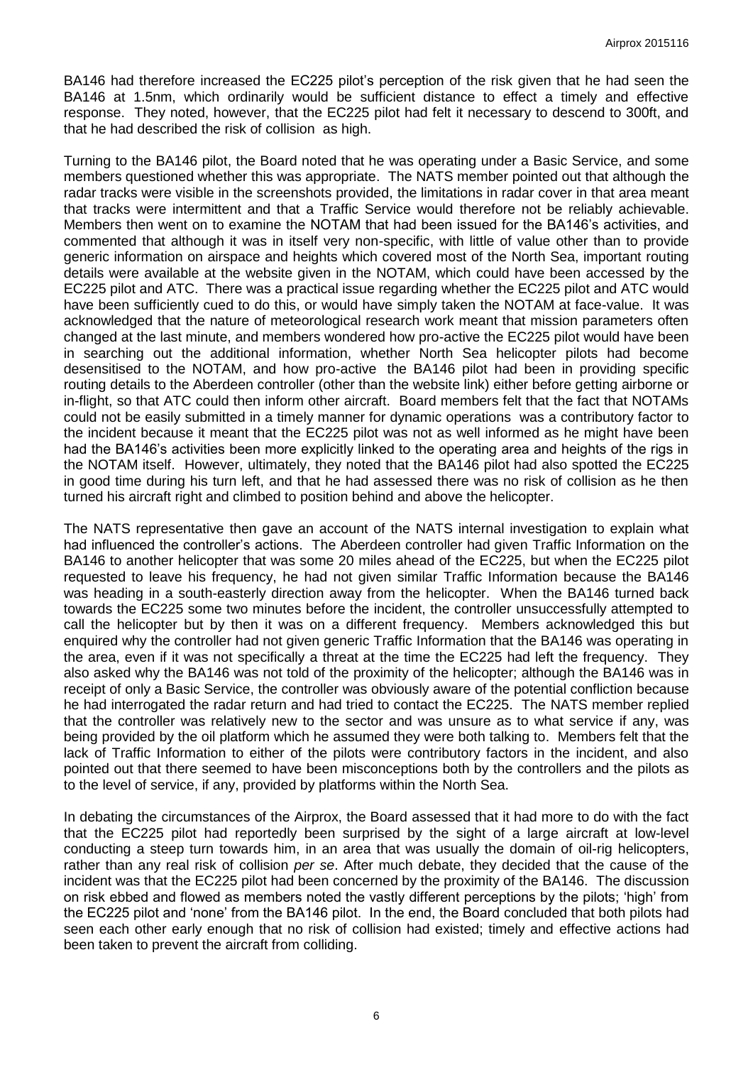BA146 had therefore increased the EC225 pilot's perception of the risk given that he had seen the BA146 at 1.5nm, which ordinarily would be sufficient distance to effect a timely and effective response. They noted, however, that the EC225 pilot had felt it necessary to descend to 300ft, and that he had described the risk of collision as high.

Turning to the BA146 pilot, the Board noted that he was operating under a Basic Service, and some members questioned whether this was appropriate. The NATS member pointed out that although the radar tracks were visible in the screenshots provided, the limitations in radar cover in that area meant that tracks were intermittent and that a Traffic Service would therefore not be reliably achievable. Members then went on to examine the NOTAM that had been issued for the BA146's activities, and commented that although it was in itself very non-specific, with little of value other than to provide generic information on airspace and heights which covered most of the North Sea, important routing details were available at the website given in the NOTAM, which could have been accessed by the EC225 pilot and ATC. There was a practical issue regarding whether the EC225 pilot and ATC would have been sufficiently cued to do this, or would have simply taken the NOTAM at face-value. It was acknowledged that the nature of meteorological research work meant that mission parameters often changed at the last minute, and members wondered how pro-active the EC225 pilot would have been in searching out the additional information, whether North Sea helicopter pilots had become desensitised to the NOTAM, and how pro-active the BA146 pilot had been in providing specific routing details to the Aberdeen controller (other than the website link) either before getting airborne or in-flight, so that ATC could then inform other aircraft. Board members felt that the fact that NOTAMs could not be easily submitted in a timely manner for dynamic operations was a contributory factor to the incident because it meant that the EC225 pilot was not as well informed as he might have been had the BA146's activities been more explicitly linked to the operating area and heights of the rigs in the NOTAM itself. However, ultimately, they noted that the BA146 pilot had also spotted the EC225 in good time during his turn left, and that he had assessed there was no risk of collision as he then turned his aircraft right and climbed to position behind and above the helicopter.

The NATS representative then gave an account of the NATS internal investigation to explain what had influenced the controller's actions. The Aberdeen controller had given Traffic Information on the BA146 to another helicopter that was some 20 miles ahead of the EC225, but when the EC225 pilot requested to leave his frequency, he had not given similar Traffic Information because the BA146 was heading in a south-easterly direction away from the helicopter. When the BA146 turned back towards the EC225 some two minutes before the incident, the controller unsuccessfully attempted to call the helicopter but by then it was on a different frequency. Members acknowledged this but enquired why the controller had not given generic Traffic Information that the BA146 was operating in the area, even if it was not specifically a threat at the time the EC225 had left the frequency. They also asked why the BA146 was not told of the proximity of the helicopter; although the BA146 was in receipt of only a Basic Service, the controller was obviously aware of the potential confliction because he had interrogated the radar return and had tried to contact the EC225. The NATS member replied that the controller was relatively new to the sector and was unsure as to what service if any, was being provided by the oil platform which he assumed they were both talking to. Members felt that the lack of Traffic Information to either of the pilots were contributory factors in the incident, and also pointed out that there seemed to have been misconceptions both by the controllers and the pilots as to the level of service, if any, provided by platforms within the North Sea.

In debating the circumstances of the Airprox, the Board assessed that it had more to do with the fact that the EC225 pilot had reportedly been surprised by the sight of a large aircraft at low-level conducting a steep turn towards him, in an area that was usually the domain of oil-rig helicopters, rather than any real risk of collision *per se*. After much debate, they decided that the cause of the incident was that the EC225 pilot had been concerned by the proximity of the BA146. The discussion on risk ebbed and flowed as members noted the vastly different perceptions by the pilots; 'high' from the EC225 pilot and 'none' from the BA146 pilot. In the end, the Board concluded that both pilots had seen each other early enough that no risk of collision had existed; timely and effective actions had been taken to prevent the aircraft from colliding.